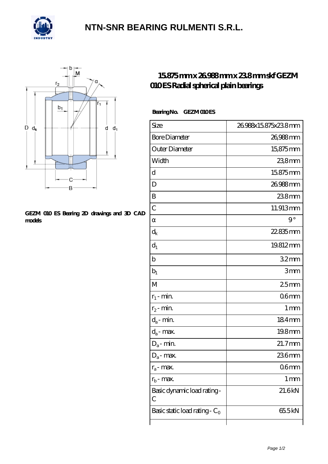

## **[NTN-SNR BEARING RULMENTI S.R.L.](https://m.confidencemenimprov.com)**



#### **[GEZM 010 ES Bearing 2D drawings and 3D CAD](https://m.confidencemenimprov.com/pic-64975033.html) [models](https://m.confidencemenimprov.com/pic-64975033.html)**

## **[15.875 mm x 26.988 mm x 23.8 mm skf GEZM](https://m.confidencemenimprov.com/ar-64975033-skf-gezm-010-es-radial-spherical-plain-bearings.html) [010 ES Radial spherical plain bearings](https://m.confidencemenimprov.com/ar-64975033-skf-gezm-010-es-radial-spherical-plain-bearings.html)**

### Bearing No. **GEZMOIOES**

| Size                             | 26988x15875x238mm |
|----------------------------------|-------------------|
| <b>Bore Diameter</b>             | 26,988mm          |
| Outer Diameter                   | 15,875mm          |
| Width                            | 238mm             |
| d                                | 15875mm           |
| D                                | 26.988mm          |
| B                                | 238mm             |
| $\overline{C}$                   | 11.913mm          |
|                                  | $9^{\circ}$       |
| $d_k$                            | 22.835mm          |
| $d_1$                            | 19.812mm          |
| $\mathbf b$                      | 32mm              |
| $b_1$                            | 3mm               |
| M                                | 25mm              |
| $r_1$ - min.                     | 06 <sub>mm</sub>  |
| $r_2$ - min.                     | 1 <sub>mm</sub>   |
| $d_a$ - min.                     | 184mm             |
| $d_a$ - max.                     | 19.8mm            |
| $D_a$ - min.                     | 21.7mm            |
| $D_a$ - max.                     | 236mm             |
| $r_a$ - max.                     | 06 <sub>mm</sub>  |
| $r_{\rm h}$ - max.               | 1 <sub>mm</sub>   |
| Basic dynamic load rating-<br>С  | 21.6kN            |
| Basic static load rating - $C_0$ | 65.5kN            |